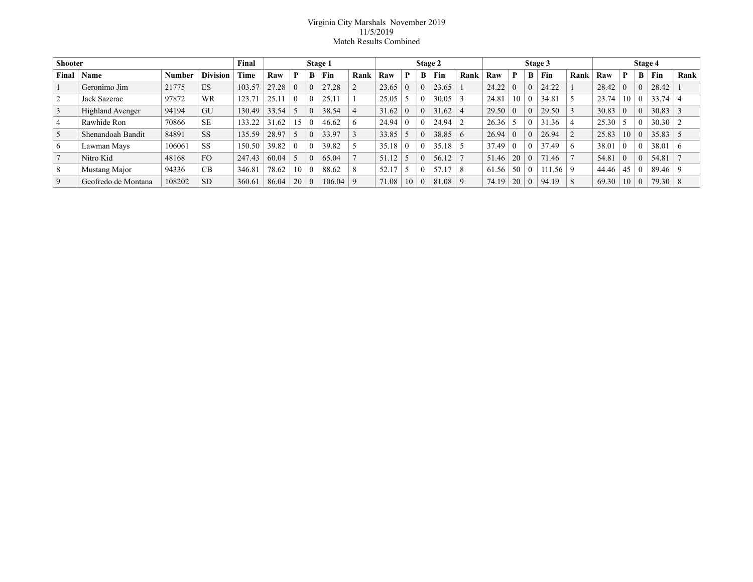## Virginia City Marshals November 2019 11/5/2019 Match Results Combined

| <b>Shooter</b> |                         |               |                 | Final  |       |          |          | Stage 1 |           |       |          | Stage 2 |            |          |       |          |                  | Stage 3      |      |       |          | Stage 4 |       |      |
|----------------|-------------------------|---------------|-----------------|--------|-------|----------|----------|---------|-----------|-------|----------|---------|------------|----------|-------|----------|------------------|--------------|------|-------|----------|---------|-------|------|
| Final          | Name                    | <b>Number</b> | <b>Division</b> | Time   | Raw   | P        | B        | Fin     | Rank      | Raw   | P        | B       | Fin        | Rank     | Raw   | P        | В                | Fin          | Rank | Raw   | P        | B       | Fin   | Rank |
|                | Geronimo Jim            | 21775         | ES              | 103.57 | 27.28 | $\Omega$ | $\Omega$ | 27.28   |           | 23.65 | $\Omega$ |         | 23.65      |          | 24.22 | $\theta$ | 0                | 24.22        |      | 28.42 | $\Omega$ |         | 28.42 |      |
| 2              | Jack Sazerac            | 97872         | <b>WR</b>       | 123.71 | 25.11 | $\theta$ |          | 25.11   |           | 25.05 |          |         | 30.05      |          | 24.81 | 10       | $\left( \right)$ | 34.81        |      | 23.74 | 10       |         | 33.74 |      |
| 3              | <b>Highland Avenger</b> | 94194         | GU              | 130.49 | 33.54 |          | $\Omega$ | 38.54   |           | 31.62 | $\Omega$ |         | 31.62      |          | 29.50 | $\Omega$ | 0                | 29.50        |      | 30.83 | $\Omega$ |         | 30.83 |      |
| $\overline{4}$ | Rawhide Ron             | 70866         | <b>SE</b>       | 133.22 | 31.62 | 15       |          | 46.62   | 6         | 24.94 | $\Omega$ |         | 24.94      |          | 26.36 |          | 0                | 31.36        | 4    | 25.30 |          |         | 30.30 |      |
| 5              | Shenandoah Bandit       | 84891         | <b>SS</b>       | 135.59 | 28.97 |          | $\Omega$ | 33.97   |           | 33.85 |          |         | 38.85      | $\sigma$ | 26.94 | $\theta$ | 0                | 26.94        |      | 25.83 | 10       |         | 35.83 |      |
| 6              | Lawman Mays             | 106061        | <b>SS</b>       | 150.50 | 39.82 | $\Omega$ |          | 39.82   |           | 35.18 | $\Omega$ |         | 35.18      |          | 37.49 | $\Omega$ | 0                | 37.49        | 6    | 38.01 | $\Omega$ |         | 38.01 | 6    |
|                | Nitro Kid               | 48168         | <b>FO</b>       | 247.43 | 60.04 |          | $\Omega$ | 65.04   |           | 51.12 |          |         | 56.12      |          | 51.46 | 20       | $\Omega$         | 71.46        |      | 54.81 | $\Omega$ |         | 54.81 |      |
| 8              | Mustang Major           | 94336         | CB              | 346.81 | 78.62 | 10       | $\theta$ | 88.62   | 8         | 52.17 | -5       |         | 57.<br>.17 |          | 61.56 | 50       | $\theta$         | $111.56$   9 |      | 44.46 | 45       |         | 89.46 |      |
| 9              | Geofredo de Montana     | 108202        | <b>SD</b>       | 360.61 | 86.04 | 20       | $\Omega$ | 106.04  | $\vert$ 9 | 71.08 | 10       |         | 81.08      |          | 74.19 | 20       | $\theta$         | 94.19        |      | 69.30 | 10       |         | 79.30 | 8    |